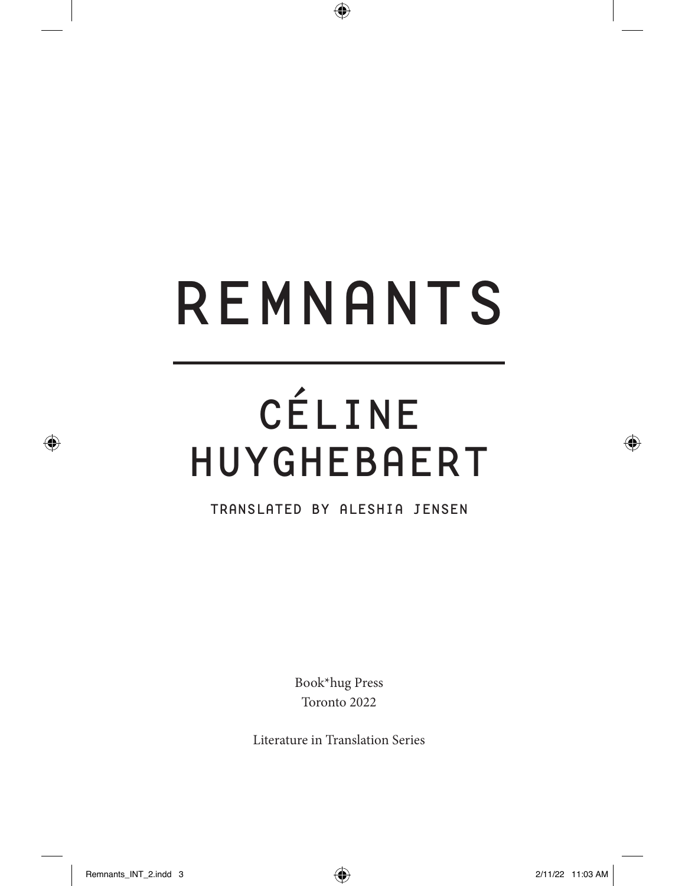# REMNANTS

 $\bigoplus$ 

## CÉLINE HUYGHEBAERT

TRANSLATED BY ALESHIA JENSEN

Book\*hug Press Toronto 2022

Literature in Translation Series

⊕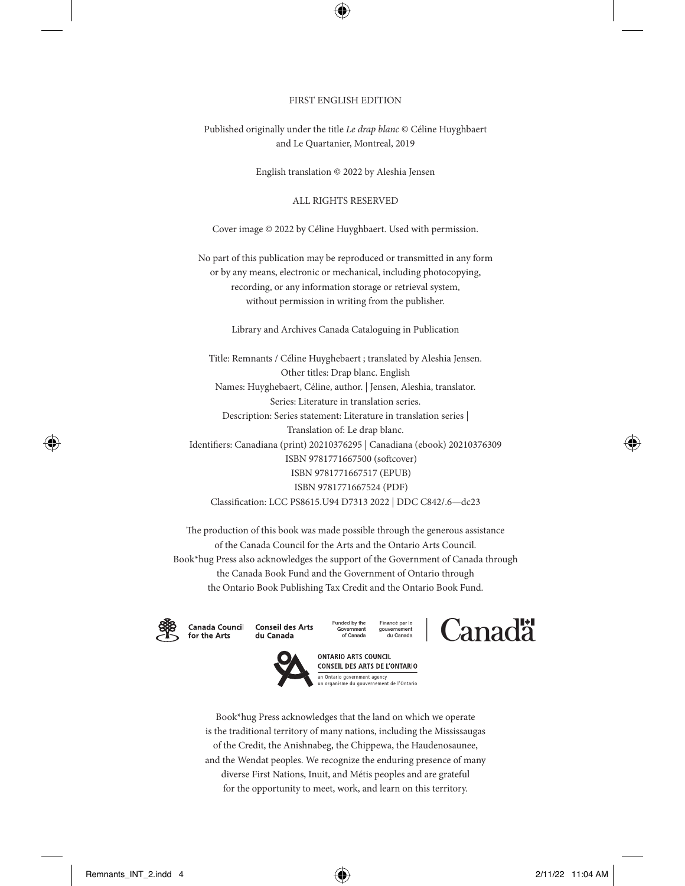#### FIRST ENGLISH EDITION

Published originally under the title *Le drap blanc* © Céline Huyghbaert and Le Quartanier, Montreal, 2019

English translation © 2022 by Aleshia Jensen

ALL RIGHTS RESERVED

Cover image © 2022 by Céline Huyghbaert. Used with permission.

No part of this publication may be reproduced or transmitted in any form or by any means, electronic or mechanical, including photocopying, recording, or any information storage or retrieval system, without permission in writing from the publisher.

Library and Archives Canada Cataloguing in Publication

Title: Remnants / Céline Huyghebaert ; translated by Aleshia Jensen. Other titles: Drap blanc. English Names: Huyghebaert, Céline, author. | Jensen, Aleshia, translator. Series: Literature in translation series. Description: Series statement: Literature in translation series | Translation of: Le drap blanc. Identifers: Canadiana (print) 20210376295 | Canadiana (ebook) 20210376309 ISBN 9781771667500 (sofcover) ISBN 9781771667517 (EPUB) ISBN 9781771667524 (PDF) Classifcation: LCC PS8615.U94 D7313 2022 | DDC C842/.6—dc23

The production of this book was made possible through the generous assistance of the Canada Council for the Arts and the Ontario Arts Council. Book\*hug Press also acknowledges the support of the Government of Canada through the Canada Book Fund and the Government of Ontario through the Ontario Book Publishing Tax Credit and the Ontario Book Fund.



Canada Council **Conseil des Arts** for the Arts du Canada







**ONTARIO ARTS COUNCIL** CONSEIL DES ARTS DE L'ONTARIO an Ontario government agency un organisme du gouvernement de l'Ontario

Book\*hug Press acknowledges that the land on which we operate is the traditional territory of many nations, including the Mississaugas of the Credit, the Anishnabeg, the Chippewa, the Haudenosaunee, and the Wendat peoples. We recognize the enduring presence of many diverse First Nations, Inuit, and Métis peoples and are grateful for the opportunity to meet, work, and learn on this territory.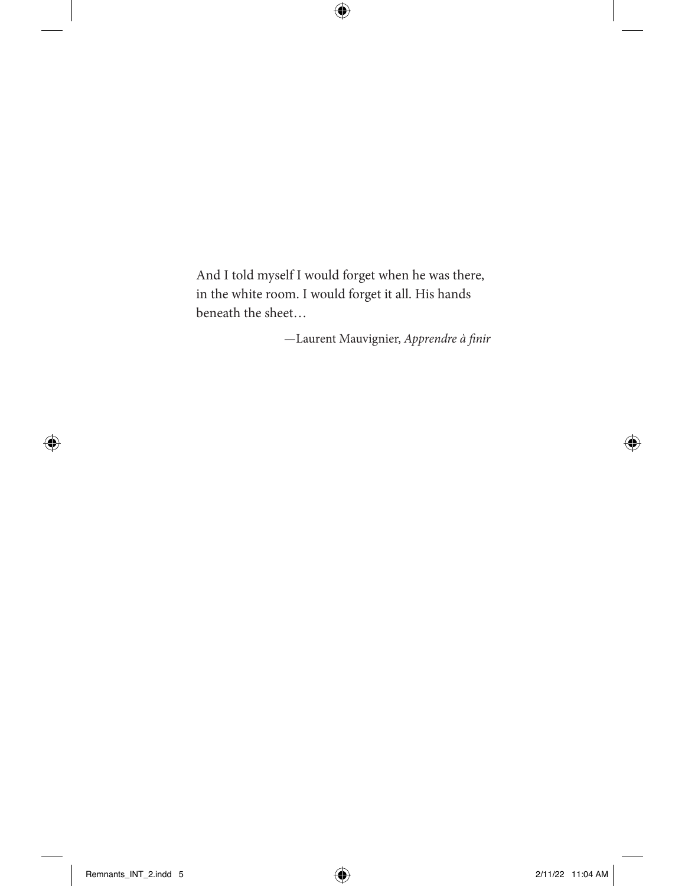And I told myself I would forget when he was there, in the white room. I would forget it all. His hands beneath the sheet…

 $\bigoplus$ 

—Laurent Mauvignier, *Apprendre à* f*nir*

 $\bigoplus$ 

 $\bigoplus$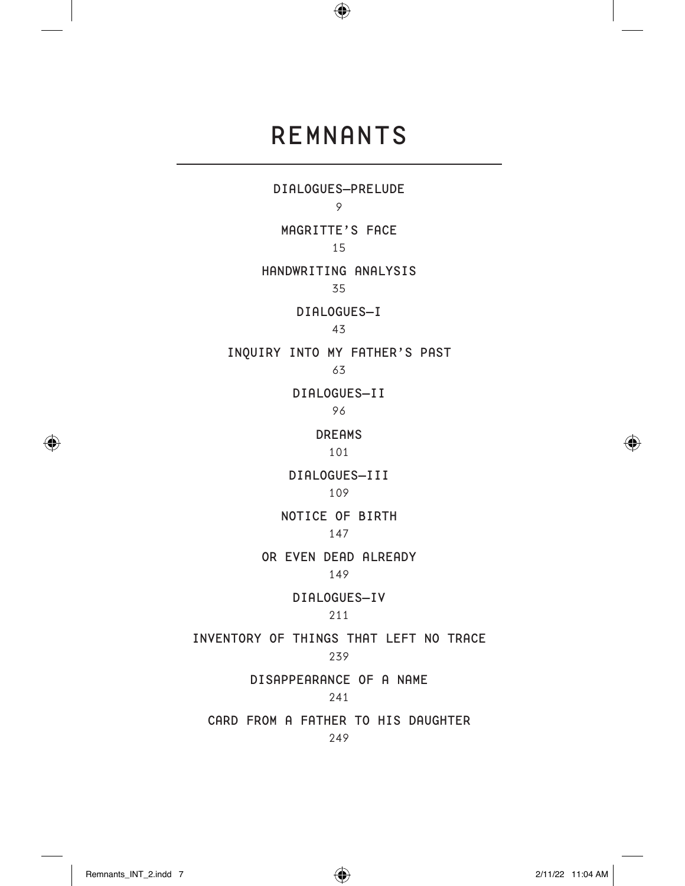### REMNANTS

 $\bigoplus$ 

DIALOGUES—PRELUDE 9 MAGRITTE'S FACE 15 HANDWRITING ANALYSIS 35 DIALOGUES—I 43 INQUIRY INTO MY FATHER'S PAST 63 DIALOGUES—II 96 DREAMS 101 DIALOGUES—III 109 NOTICE OF BIRTH 147 OR EVEN DEAD ALREADY 149 DIALOGUES—IV 211 INVENTORY OF THINGS THAT LEFT NO TRACE 239 DISAPPEARANCE OF A NAME 241 CARD FROM A FATHER TO HIS DAUGHTER 249

⊕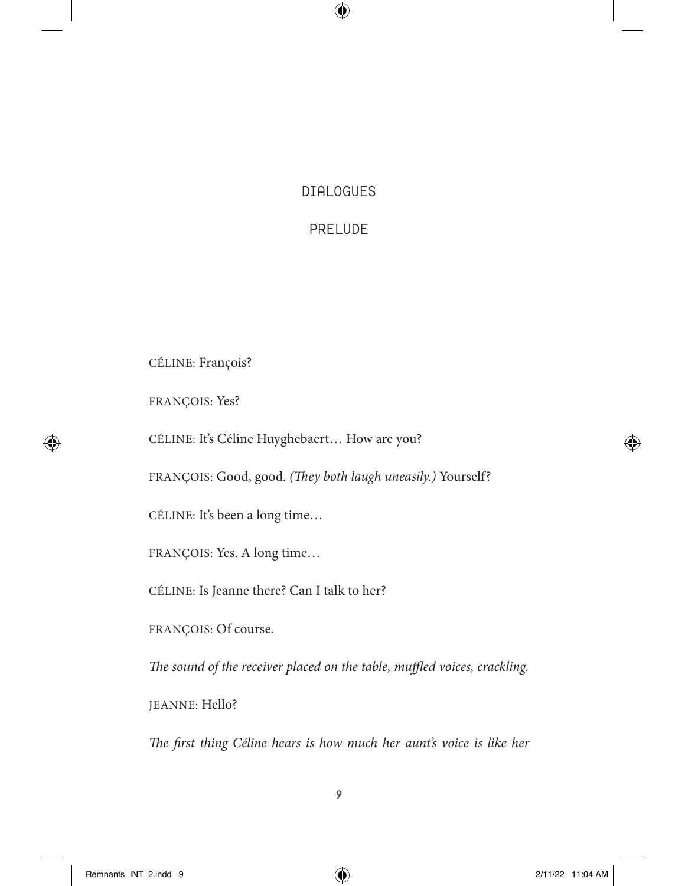#### DIALOGUES

 $\bigoplus$ 

#### PRELUDE

CÉLINE: François?

FRANÇOIS: Yes?

⊕

CÉLINE: It's Céline Huyghebaert… How are you?

FRANÇOIS: Good, good. *(*T*ey both laugh uneasily.)* Yourself?

CÉLINE: It's been a long time…

FRANÇOIS: Yes. A long time…

CÉLINE: Is Jeanne there? Can I talk to her?

FRANÇOIS: Of course.

The sound of the receiver placed on the table, muffled voices, crackling.

JEANNE: Hello?

T*e* f*rst thing Céline hears is how much her aunt's voice is like her* 

Remnants\_INT\_2.indd 9 2/11/22 11:04 AM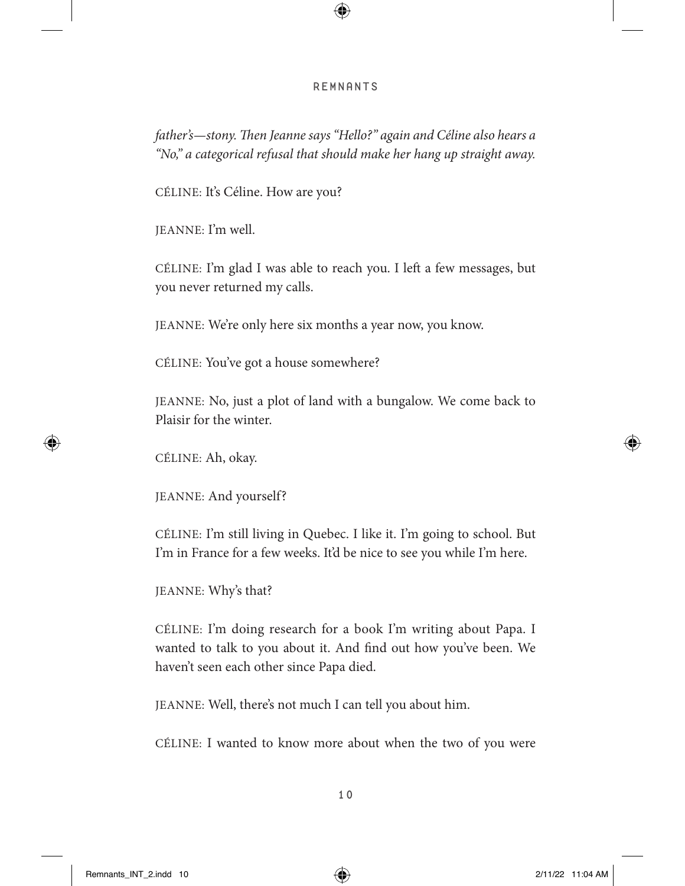#### REMNANTS

 $\bigcirc$ 

*father's—stony. Then Jeanne says "Hello?" again and Céline also hears a "No," a categorical refusal that should make her hang up straight away.*

CÉLINE: It's Céline. How are you?

JEANNE: I'm well.

CÉLINE: I'm glad I was able to reach you. I left a few messages, but you never returned my calls.

JEANNE: We're only here six months a year now, you know.

CÉLINE: You've got a house somewhere?

JEANNE: No, just a plot of land with a bungalow. We come back to Plaisir for the winter.

CÉLINE: Ah, okay.

⊕

JEANNE: And yourself?

CÉLINE: I'm still living in Quebec. I like it. I'm going to school. But I'm in France for a few weeks. It'd be nice to see you while I'm here.

JEANNE: Why's that?

CÉLINE: I'm doing research for a book I'm writing about Papa. I wanted to talk to you about it. And fnd out how you've been. We haven't seen each other since Papa died.

JEANNE: Well, there's not much I can tell you about him.

CÉLINE: I wanted to know more about when the two of you were